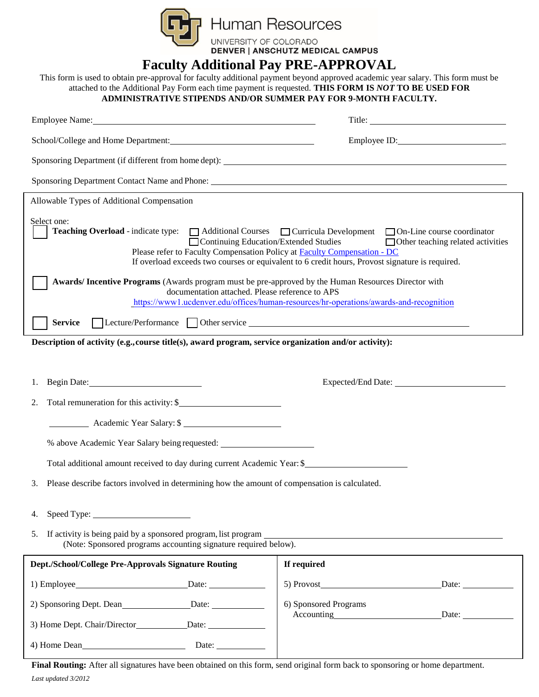

## **Faculty Additional Pay PRE-APPROVAL**

This form is used to obtain pre-approval for faculty additional payment beyond approved academic year salary. This form must be attached to the Additional Pay Form each time payment is requested. **THIS FORM IS** *NOT* **TO BE USED FOR ADMINISTRATIVE STIPENDS AND/OR SUMMER PAY FOR 9-MONTH FACULTY.**

| Employee Name: 2008 Company and 2008 Company and 2008 Company and 2008 Company and 2008 Company and 2008 Company and 2008 Company and 2008 Company and 2008 Company and 2008 Company and 2008 Company and 2008 Company and 200                                  |                                                                                                                                             |
|-----------------------------------------------------------------------------------------------------------------------------------------------------------------------------------------------------------------------------------------------------------------|---------------------------------------------------------------------------------------------------------------------------------------------|
|                                                                                                                                                                                                                                                                 |                                                                                                                                             |
|                                                                                                                                                                                                                                                                 |                                                                                                                                             |
|                                                                                                                                                                                                                                                                 |                                                                                                                                             |
| Allowable Types of Additional Compensation                                                                                                                                                                                                                      |                                                                                                                                             |
| Select one:<br><b>Teaching Overload</b> - indicate type: ■ Additional Courses ■ Curricula Development ■ On-Line course coordinator<br>Continuing Education/Extended Studies<br>Please refer to Faculty Compensation Policy at <b>Faculty Compensation - DC</b>  | $\Box$ Other teaching related activities<br>If overload exceeds two courses or equivalent to 6 credit hours, Provost signature is required. |
| Awards/ Incentive Programs (Awards program must be pre-approved by the Human Resources Director with<br>documentation attached. Please reference to APS<br>https://www1.ucdenver.edu/offices/human-resources/hr-operations/awards-and-recognition               |                                                                                                                                             |
| <b>Service</b>                                                                                                                                                                                                                                                  |                                                                                                                                             |
| Description of activity (e.g., course title(s), award program, service organization and/or activity):                                                                                                                                                           |                                                                                                                                             |
| 1.                                                                                                                                                                                                                                                              |                                                                                                                                             |
| Total remuneration for this activity: \$<br>2.                                                                                                                                                                                                                  |                                                                                                                                             |
| Academic Year Salary: \$                                                                                                                                                                                                                                        |                                                                                                                                             |
| % above Academic Year Salary being requested: __________________________________                                                                                                                                                                                |                                                                                                                                             |
| Total additional amount received to day during current Academic Year: \$                                                                                                                                                                                        |                                                                                                                                             |
| Please describe factors involved in determining how the amount of compensation is calculated.<br>3.                                                                                                                                                             |                                                                                                                                             |
|                                                                                                                                                                                                                                                                 |                                                                                                                                             |
| If activity is being paid by a sponsored program, list program<br>5.<br><u> 1989 - Johann Stein, marwolaethau a bhann an t-Amhair an t-Amhair an t-Amhair an t-Amhair an t-Amhair an t-A</u><br>(Note: Sponsored programs accounting signature required below). |                                                                                                                                             |
| Dept./School/College Pre-Approvals Signature Routing                                                                                                                                                                                                            | If required                                                                                                                                 |
|                                                                                                                                                                                                                                                                 | 5) Provost<br>Date:                                                                                                                         |
|                                                                                                                                                                                                                                                                 |                                                                                                                                             |
| 2) Sponsoring Dept. Dean<br>Date:                                                                                                                                                                                                                               | 6) Sponsored Programs<br>Accounting<br><u>Accounting</u><br>Date:                                                                           |

*Last updated 3/2012* **Final Routing:** After all signatures have been obtained on this form, send original form back to sponsoring or home department.

4) Home Dean Date: